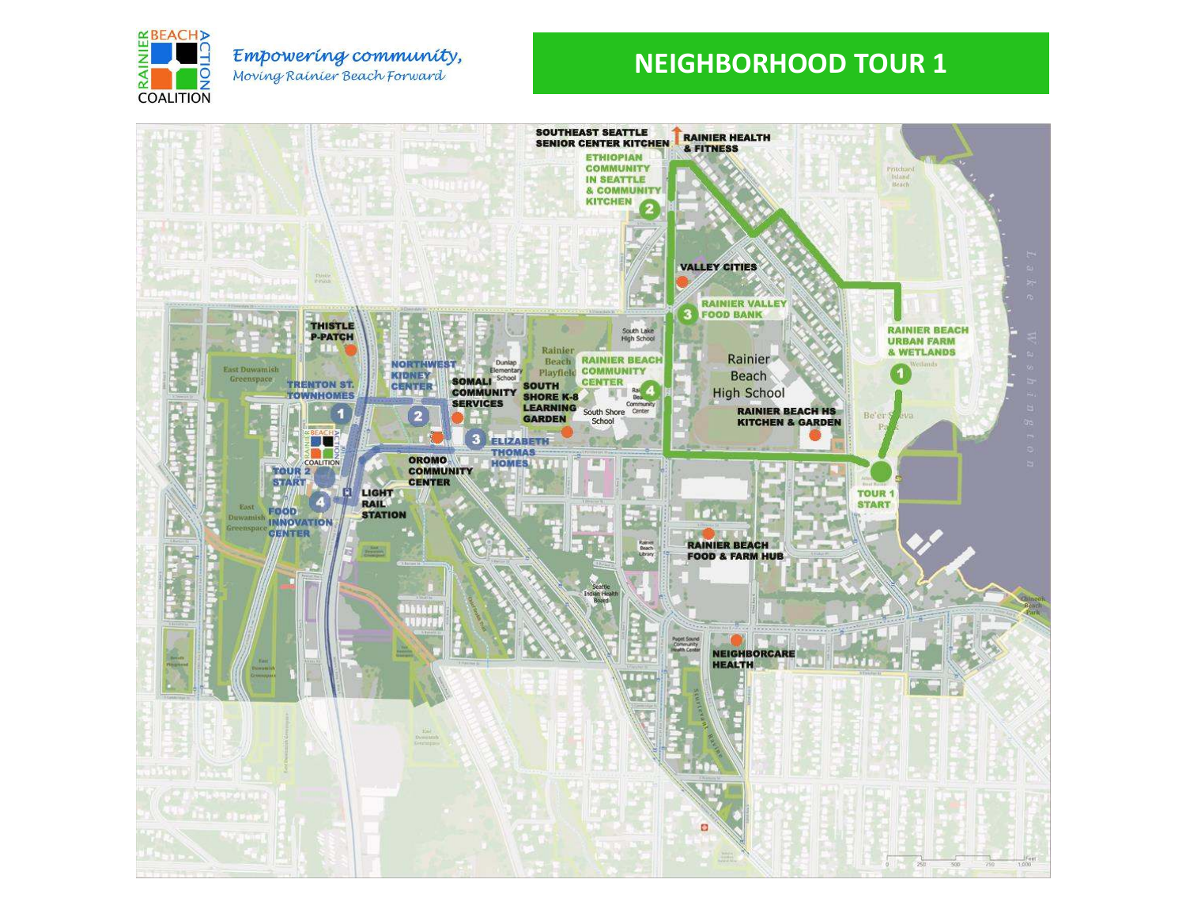

#### Empowering community, Moving Rainier Beach Forward

## **NEIGHBORHOOD TOUR 1**